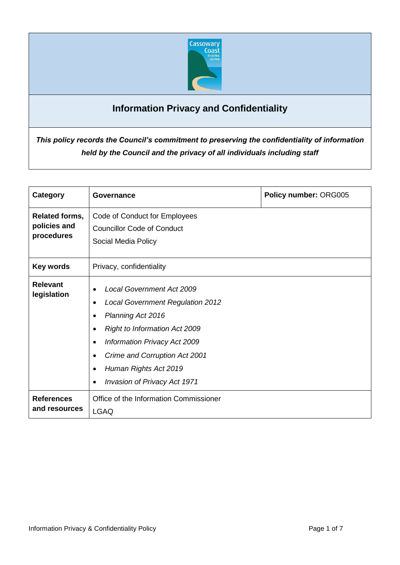

# **Information Privacy and Confidentiality**

*This policy records the Council's commitment to preserving the confidentiality of information held by the Council and the privacy of all individuals including staff*

| Category                                            | Governance                                                                                                                                                                                                                                                                                                                                                                 | Policy number: ORG005 |
|-----------------------------------------------------|----------------------------------------------------------------------------------------------------------------------------------------------------------------------------------------------------------------------------------------------------------------------------------------------------------------------------------------------------------------------------|-----------------------|
| <b>Related forms,</b><br>policies and<br>procedures | Code of Conduct for Employees<br><b>Councillor Code of Conduct</b><br>Social Media Policy                                                                                                                                                                                                                                                                                  |                       |
| Key words                                           | Privacy, confidentiality                                                                                                                                                                                                                                                                                                                                                   |                       |
| <b>Relevant</b><br>legislation                      | <b>Local Government Act 2009</b><br>$\bullet$<br><b>Local Government Regulation 2012</b><br>$\bullet$<br>Planning Act 2016<br>$\bullet$<br><b>Right to Information Act 2009</b><br>$\bullet$<br>Information Privacy Act 2009<br>$\bullet$<br>Crime and Corruption Act 2001<br>$\bullet$<br>Human Rights Act 2019<br>$\bullet$<br>Invasion of Privacy Act 1971<br>$\bullet$ |                       |
| <b>References</b><br>and resources                  | Office of the Information Commissioner<br><b>LGAQ</b>                                                                                                                                                                                                                                                                                                                      |                       |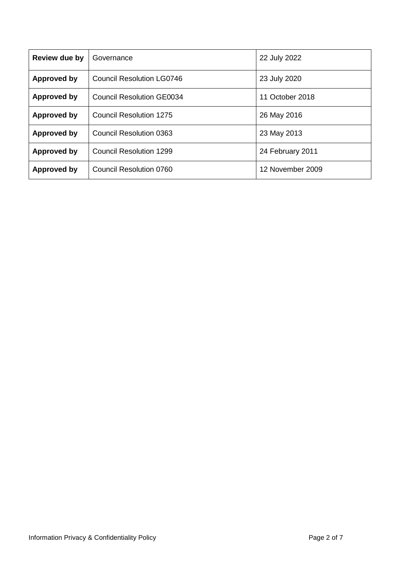| <b>Review due by</b> | Governance                       | 22 July 2022     |
|----------------------|----------------------------------|------------------|
| Approved by          | <b>Council Resolution LG0746</b> | 23 July 2020     |
| Approved by          | Council Resolution GE0034        | 11 October 2018  |
| Approved by          | Council Resolution 1275          | 26 May 2016      |
| Approved by          | Council Resolution 0363          | 23 May 2013      |
| Approved by          | Council Resolution 1299          | 24 February 2011 |
| Approved by          | Council Resolution 0760          | 12 November 2009 |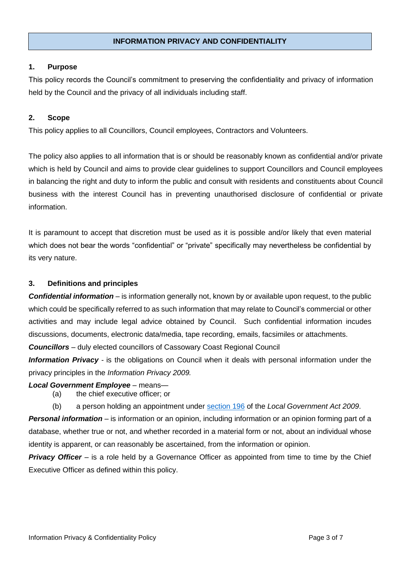#### **INFORMATION PRIVACY AND CONFIDENTIALITY**

#### **1. Purpose**

This policy records the Council's commitment to preserving the confidentiality and privacy of information held by the Council and the privacy of all individuals including staff.

### **2. Scope**

This policy applies to all Councillors, Council employees, Contractors and Volunteers.

The policy also applies to all information that is or should be reasonably known as confidential and/or private which is held by Council and aims to provide clear guidelines to support Councillors and Council employees in balancing the right and duty to inform the public and consult with residents and constituents about Council business with the interest Council has in preventing unauthorised disclosure of confidential or private information.

It is paramount to accept that discretion must be used as it is possible and/or likely that even material which does not bear the words "confidential" or "private" specifically may nevertheless be confidential by its very nature.

## **3. Definitions and principles**

*Confidential information* – is information generally not, known by or available upon request, to the public which could be specifically referred to as such information that may relate to Council's commercial or other activities and may include legal advice obtained by Council. Such confidential information incudes discussions, documents, electronic data/media, tape recording, emails, facsimiles or attachments.

*Councillors* – duly elected councillors of Cassowary Coast Regional Council

*Information Privacy* - is the obligations on Council when it deals with personal information under the privacy principles in the *Information Privacy 2009.*

#### *Local Government Employee* – means—

- (a) the chief executive officer; or
- (b) a person holding an appointment under [section](https://www.legislation.qld.gov.au/view/html/inforce/current/act-2009-017#sec.196) 196 of the *Local Government Act 2009*.

*Personal information* – is information or an opinion, including information or an opinion forming part of a database, whether true or not, and whether recorded in a material form or not, about an individual whose identity is apparent, or can reasonably be ascertained, from the information or opinion.

**Privacy Officer** – is a role held by a Governance Officer as appointed from time to time by the Chief Executive Officer as defined within this policy.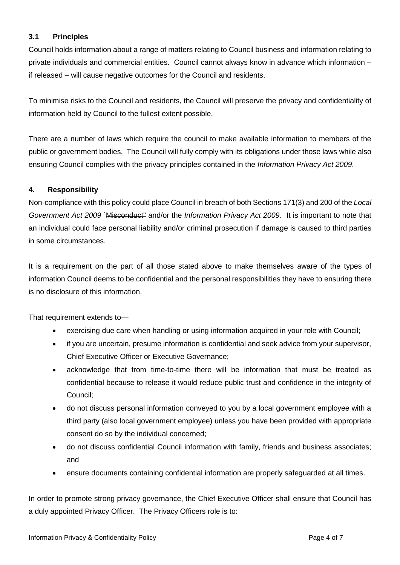# **3.1 Principles**

Council holds information about a range of matters relating to Council business and information relating to private individuals and commercial entities. Council cannot always know in advance which information – if released – will cause negative outcomes for the Council and residents.

To minimise risks to the Council and residents, the Council will preserve the privacy and confidentiality of information held by Council to the fullest extent possible.

There are a number of laws which require the council to make available information to members of the public or government bodies. The Council will fully comply with its obligations under those laws while also ensuring Council complies with the privacy principles contained in the *Information Privacy Act 2009*.

## **4. Responsibility**

Non-compliance with this policy could place Council in breach of both Sections 171(3) and 200 of the *Local Government Act 2009* ´Misconduct" and/or the *Information Privacy Act 2009*. It is important to note that an individual could face personal liability and/or criminal prosecution if damage is caused to third parties in some circumstances.

It is a requirement on the part of all those stated above to make themselves aware of the types of information Council deems to be confidential and the personal responsibilities they have to ensuring there is no disclosure of this information.

That requirement extends to—

- exercising due care when handling or using information acquired in your role with Council;
- if you are uncertain, presume information is confidential and seek advice from your supervisor, Chief Executive Officer or Executive Governance;
- acknowledge that from time-to-time there will be information that must be treated as confidential because to release it would reduce public trust and confidence in the integrity of Council;
- do not discuss personal information conveyed to you by a local government employee with a third party (also local government employee) unless you have been provided with appropriate consent do so by the individual concerned;
- do not discuss confidential Council information with family, friends and business associates; and
- ensure documents containing confidential information are properly safeguarded at all times.

In order to promote strong privacy governance, the Chief Executive Officer shall ensure that Council has a duly appointed Privacy Officer. The Privacy Officers role is to: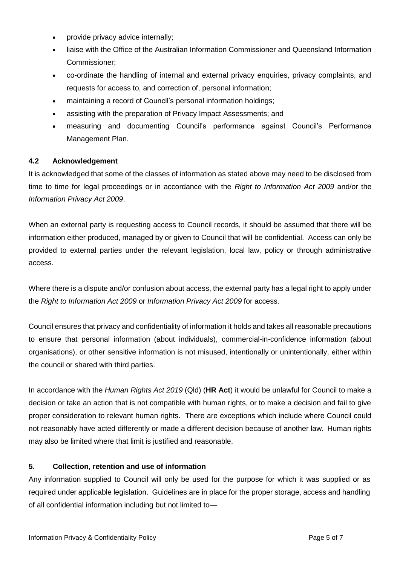- provide privacy advice internally;
- liaise with the Office of the Australian Information Commissioner and Queensland Information Commissioner;
- co-ordinate the handling of internal and external privacy enquiries, privacy complaints, and requests for access to, and correction of, personal information;
- maintaining a record of Council's personal information holdings;
- assisting with the preparation of Privacy Impact Assessments; and
- measuring and documenting Council's performance against Council's Performance Management Plan.

## **4.2 Acknowledgement**

It is acknowledged that some of the classes of information as stated above may need to be disclosed from time to time for legal proceedings or in accordance with the *Right to Information Act 2009* and/or the *Information Privacy Act 2009*.

When an external party is requesting access to Council records, it should be assumed that there will be information either produced, managed by or given to Council that will be confidential. Access can only be provided to external parties under the relevant legislation, local law, policy or through administrative access.

Where there is a dispute and/or confusion about access, the external party has a legal right to apply under the *Right to Information Act 2009* or *Information Privacy Act 2009* for access.

Council ensures that privacy and confidentiality of information it holds and takes all reasonable precautions to ensure that personal information (about individuals), commercial-in-confidence information (about organisations), or other sensitive information is not misused, intentionally or unintentionally, either within the council or shared with third parties.

In accordance with the *Human Rights Act 2019* (Qld) (**HR Act**) it would be unlawful for Council to make a decision or take an action that is not compatible with human rights, or to make a decision and fail to give proper consideration to relevant human rights. There are exceptions which include where Council could not reasonably have acted differently or made a different decision because of another law. Human rights may also be limited where that limit is justified and reasonable.

# **5. Collection, retention and use of information**

Any information supplied to Council will only be used for the purpose for which it was supplied or as required under applicable legislation. Guidelines are in place for the proper storage, access and handling of all confidential information including but not limited to—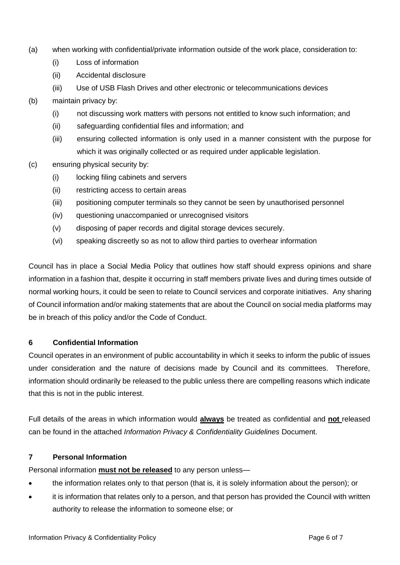- (a) when working with confidential/private information outside of the work place, consideration to:
	- (i) Loss of information
	- (ii) Accidental disclosure
	- (iii) Use of USB Flash Drives and other electronic or telecommunications devices
- (b) maintain privacy by:
	- (i) not discussing work matters with persons not entitled to know such information; and
	- (ii) safeguarding confidential files and information; and
	- (iii) ensuring collected information is only used in a manner consistent with the purpose for which it was originally collected or as required under applicable legislation.
- (c) ensuring physical security by:
	- (i) locking filing cabinets and servers
	- (ii) restricting access to certain areas
	- (iii) positioning computer terminals so they cannot be seen by unauthorised personnel
	- (iv) questioning unaccompanied or unrecognised visitors
	- (v) disposing of paper records and digital storage devices securely.
	- (vi) speaking discreetly so as not to allow third parties to overhear information

Council has in place a Social Media Policy that outlines how staff should express opinions and share information in a fashion that, despite it occurring in staff members private lives and during times outside of normal working hours, it could be seen to relate to Council services and corporate initiatives. Any sharing of Council information and/or making statements that are about the Council on social media platforms may be in breach of this policy and/or the Code of Conduct.

## **6 Confidential Information**

Council operates in an environment of public accountability in which it seeks to inform the public of issues under consideration and the nature of decisions made by Council and its committees. Therefore, information should ordinarily be released to the public unless there are compelling reasons which indicate that this is not in the public interest.

Full details of the areas in which information would **always** be treated as confidential and **not** released can be found in the attached *Information Privacy & Confidentiality Guidelines* Document.

## **7 Personal Information**

Personal information **must not be released** to any person unless—

- the information relates only to that person (that is, it is solely information about the person); or
- it is information that relates only to a person, and that person has provided the Council with written authority to release the information to someone else; or